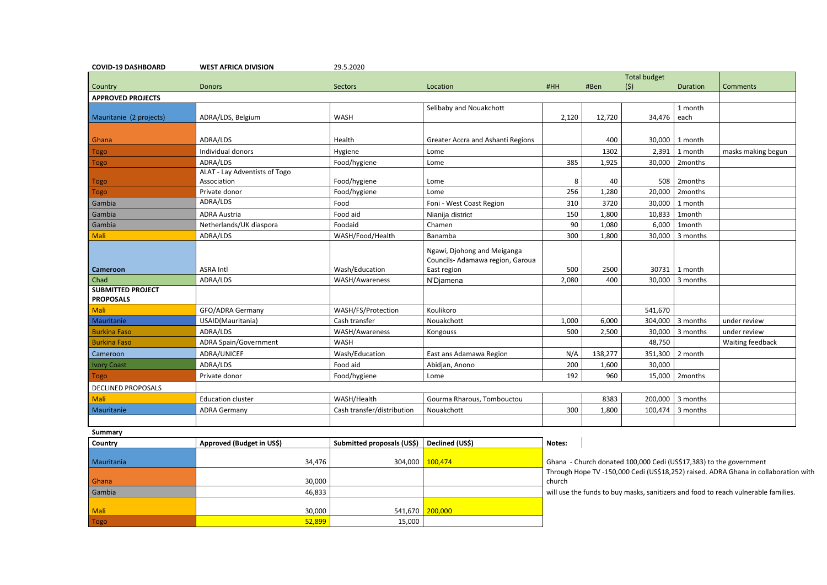| <b>COVID-19 DASHBOARD</b>                    | <b>WEST AFRICA DIVISION</b>   | 29.5.2020                  |                                                                 |        |                                                                    |                     |                          |                                                                                |
|----------------------------------------------|-------------------------------|----------------------------|-----------------------------------------------------------------|--------|--------------------------------------------------------------------|---------------------|--------------------------|--------------------------------------------------------------------------------|
|                                              |                               |                            |                                                                 |        |                                                                    | <b>Total budget</b> |                          |                                                                                |
| Country                                      | <b>Donors</b>                 | Sectors                    | Location                                                        | #HH    | #Ben                                                               | (5)                 | <b>Duration</b>          | Comments                                                                       |
| <b>APPROVED PROJECTS</b>                     |                               |                            |                                                                 |        |                                                                    |                     |                          |                                                                                |
|                                              |                               |                            | Selibaby and Nouakchott                                         |        |                                                                    |                     | 1 month                  |                                                                                |
| Mauritanie (2 projects)                      | ADRA/LDS, Belgium             | <b>WASH</b>                |                                                                 | 2,120  | 12,720                                                             | 34,476 each         |                          |                                                                                |
|                                              |                               |                            |                                                                 |        |                                                                    |                     |                          |                                                                                |
| Ghana                                        | ADRA/LDS                      | Health                     | Greater Accra and Ashanti Regions                               |        | 400                                                                |                     | 30,000 1 month           |                                                                                |
| <b>Togo</b>                                  | Individual donors             | Hygiene                    | Lome                                                            |        | 1302                                                               | 2,391               | 1 month                  | masks making begun                                                             |
| <b>Togo</b>                                  | ADRA/LDS                      | Food/hygiene               | Lome                                                            | 385    | 1,925                                                              |                     | 30,000   2months         |                                                                                |
|                                              | ALAT - Lay Adventists of Togo |                            |                                                                 |        |                                                                    |                     |                          |                                                                                |
| <b>Togo</b>                                  | Association                   | Food/hygiene               | Lome                                                            | 8      | 40                                                                 | 508                 | 2months                  |                                                                                |
| <b>Togo</b>                                  | Private donor                 | Food/hygiene               | Lome                                                            | 256    | 1,280                                                              | 20,000              | 2months                  |                                                                                |
| Gambia                                       | ADRA/LDS                      | Food                       | Foni - West Coast Region                                        | 310    | 3720                                                               | 30,000              | 1 month                  |                                                                                |
| Gambia                                       | <b>ADRA Austria</b>           | Food aid                   | Nianija district                                                | 150    | 1,800                                                              | 10,833              | 1month                   |                                                                                |
| Gambia                                       | Netherlands/UK diaspora       | Foodaid                    | Chamen                                                          | 90     | 1,080                                                              | 6,000               | 1month                   |                                                                                |
| <b>Mali</b>                                  | ADRA/LDS                      | WASH/Food/Health           | Banamba                                                         | 300    | 1,800                                                              |                     | 30,000 3 months          |                                                                                |
|                                              |                               |                            | Ngawi, Djohong and Meiganga<br>Councils- Adamawa region, Garoua |        |                                                                    |                     |                          |                                                                                |
| Cameroon                                     | <b>ASRA Intl</b>              | Wash/Education             | East region                                                     | 500    | 2500                                                               | 30731               | 1 month                  |                                                                                |
| Chad                                         | ADRA/LDS                      | WASH/Awareness             | N'Djamena                                                       | 2,080  | 400                                                                |                     | 30,000 3 months          |                                                                                |
| <b>SUBMITTED PROJECT</b><br><b>PROPOSALS</b> |                               |                            |                                                                 |        |                                                                    |                     |                          |                                                                                |
| <b>Mali</b>                                  | GFO/ADRA Germany              | WASH/FS/Protection         | Koulikoro                                                       |        |                                                                    | 541,670             |                          |                                                                                |
| Mauritanie                                   | USAID(Mauritania)             | Cash transfer              | Nouakchott                                                      | 1,000  | 6,000                                                              |                     | 304,000 3 months         | under review                                                                   |
| <b>Burkina Faso</b>                          | ADRA/LDS                      | WASH/Awareness             | Kongouss                                                        | 500    | 2,500                                                              |                     | 30,000 3 months          | under review                                                                   |
| <b>Burkina Faso</b>                          | <b>ADRA Spain/Government</b>  | <b>WASH</b>                |                                                                 |        |                                                                    | 48,750              |                          | Waiting feedback                                                               |
| Cameroon                                     | ADRA/UNICEF                   | Wash/Education             | East ans Adamawa Region                                         | N/A    | 138,277                                                            |                     | 351,300 2 month          |                                                                                |
| <b>Ivory Coast</b>                           | ADRA/LDS                      | Food aid                   | Abidjan, Anono                                                  | 200    | 1,600                                                              | 30,000              |                          |                                                                                |
| <b>Togo</b>                                  | Private donor                 | Food/hygiene               | Lome                                                            | 192    | 960                                                                |                     | 15,000 2months           |                                                                                |
| <b>DECLINED PROPOSALS</b>                    |                               |                            |                                                                 |        |                                                                    |                     |                          |                                                                                |
| Mali                                         | <b>Education cluster</b>      | WASH/Health                | Gourma Rharous, Tombouctou                                      |        | 8383                                                               |                     | 200,000 $\vert$ 3 months |                                                                                |
| Mauritanie                                   | <b>ADRA Germany</b>           | Cash transfer/distribution | Nouakchott                                                      | 300    | 1,800                                                              |                     | $100,474$ 3 months       |                                                                                |
|                                              |                               |                            |                                                                 |        |                                                                    |                     |                          |                                                                                |
| <b>Summary</b>                               |                               |                            |                                                                 |        |                                                                    |                     |                          |                                                                                |
| Country                                      | Approved (Budget in US\$)     | Submitted proposals (US\$) | Declined (US\$)                                                 | Notes: |                                                                    |                     |                          |                                                                                |
|                                              |                               |                            |                                                                 |        |                                                                    |                     |                          |                                                                                |
| Mauritania                                   | 34,476                        |                            | 304,000 100,474                                                 |        | Ghana - Church donated 100,000 Cedi (US\$17,383) to the government |                     |                          |                                                                                |
|                                              |                               |                            |                                                                 |        |                                                                    |                     |                          | Through Hope TV -150,000 Cedi (US\$18,252) raised. ADRA Ghana in collaboration |
| Ghana                                        | 30,000                        |                            |                                                                 | church |                                                                    |                     |                          |                                                                                |

Mali 30,000 541,670

Togo 52,899 <mark>15,000 15,000 15,000 15,000 15,000 15,000 15,000 15,000 15,000 15,000 15,000 15,000 15,000 15,000 15,000 15,000 15,000 15,000 15,000 15,000 15,000 15,000 15,000 15,000 15,000 15,000 15,000 15,000 15,000 15,000</mark>

lope TV -150,000 Cedi (US\$18,252) raised. ADRA Ghana in collaboration with

Gambia **will use the funds to buy masks, sanitizers and food to reach vulnerable families.** 

200,000